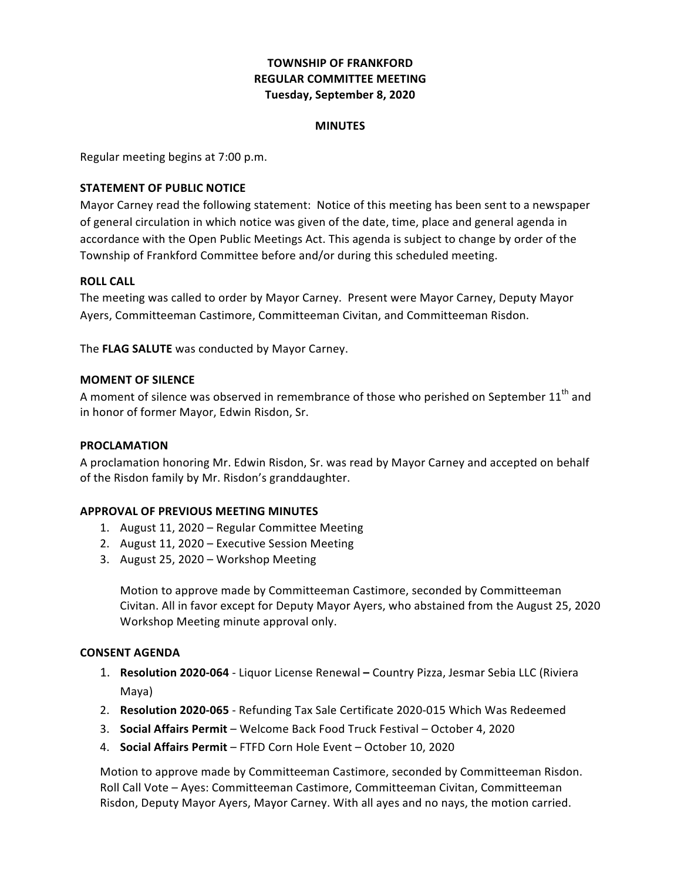# **TOWNSHIP OF FRANKFORD REGULAR COMMITTEE MEETING Tuesday, September 8, 2020**

#### **MINUTES**

 Regular meeting begins at 7:00 p.m.

## **STATEMENT OF PUBLIC NOTICE**

 Mayor Carney read the following statement: Notice of this meeting has been sent to a newspaper of general circulation in which notice was given of the date, time, place and general agenda in accordance with the Open Public Meetings Act. This agenda is subject to change by order of the Township of Frankford Committee before and/or during this scheduled meeting.

#### **ROLL CALL**

 The meeting was called to order by Mayor Carney. Present were Mayor Carney, Deputy Mayor Ayers, Committeeman Castimore, Committeeman Civitan, and Committeeman Risdon.

 The **FLAG SALUTE** was conducted by Mayor Carney.

#### **MOMENT OF SILENCE**

A moment of silence was observed in remembrance of those who perished on September  $11^{\text{th}}$  and in honor of former Mayor, Edwin Risdon, Sr.

### **PROCLAMATION**

A proclamation honoring Mr. Edwin Risdon, Sr. was read by Mayor Carney and accepted on behalf of the Risdon family by Mr. Risdon's granddaughter.

#### **APPROVAL OF PREVIOUS MEETING MINUTES**

- 1. August 11, 2020 Regular Committee Meeting
- 2. August 11, 2020 Executive Session Meeting
- 3. August 25, 2020 Workshop Meeting

 Motion to approve made by Committeeman Castimore, seconded by Committeeman Civitan. All in favor except for Deputy Mayor Ayers, who abstained from the August 25, 2020 Workshop Meeting minute approval only.

#### **CONSENT AGENDA**

- 1. Resolution 2020-064 Liquor License Renewal Country Pizza, Jesmar Sebia LLC (Riviera Maya)
- 2. Resolution 2020-065 Refunding Tax Sale Certificate 2020-015 Which Was Redeemed
- 3. **Social Affairs Permit** Welcome Back Food Truck Festival October 4, 2020
- 4. **Social Affairs Permit** FTFD Corn Hole Event October 10, 2020

 Motion to approve made by Committeeman Castimore, seconded by Committeeman Risdon. Roll Call Vote - Ayes: Committeeman Castimore, Committeeman Civitan, Committeeman Risdon, Deputy Mayor Ayers, Mayor Carney. With all ayes and no nays, the motion carried.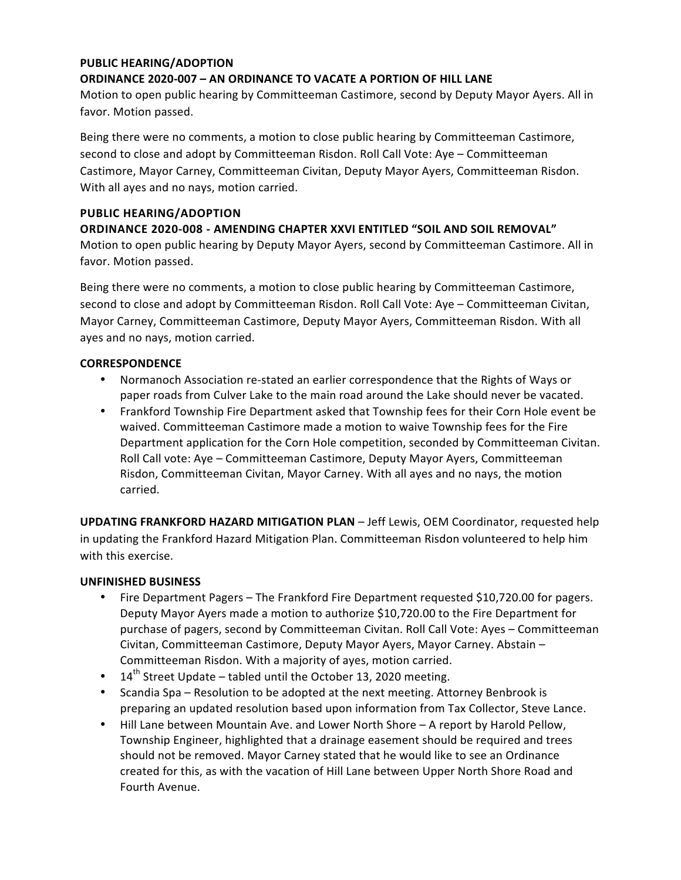### **PUBLIC HEARING/ADOPTION**

### **ORDINANCE 2020-007 – AN ORDINANCE TO VACATE A PORTION OF HILL LANE**

Motion to open public hearing by Committeeman Castimore, second by Deputy Mayor Ayers. All in favor. Motion passed.

Being there were no comments, a motion to close public hearing by Committeeman Castimore, second to close and adopt by Committeeman Risdon. Roll Call Vote: Aye – Committeeman Castimore, Mayor Carney, Committeeman Civitan, Deputy Mayor Ayers, Committeeman Risdon. With all ayes and no nays, motion carried.

# **PUBLIC HEARING/ADOPTION**

 **ORDINANCE 2020-008 - AMENDING CHAPTER XXVI ENTITLED "SOIL AND SOIL REMOVAL"** Motion to open public hearing by Deputy Mayor Ayers, second by Committeeman Castimore. All in favor. Motion passed.

Being there were no comments, a motion to close public hearing by Committeeman Castimore, second to close and adopt by Committeeman Risdon. Roll Call Vote: Aye – Committeeman Civitan, Mayor Carney, Committeeman Castimore, Deputy Mayor Ayers, Committeeman Risdon. With all ayes and no nays, motion carried.

#### **CORRESPONDENCE**

- Normanoch Association re-stated an earlier correspondence that the Rights of Ways or paper roads from Culver Lake to the main road around the Lake should never be vacated.
- Frankford Township Fire Department asked that Township fees for their Corn Hole event be waived. Committeeman Castimore made a motion to waive Township fees for the Fire Department application for the Corn Hole competition, seconded by Committeeman Civitan. Roll Call vote: Aye - Committeeman Castimore, Deputy Mayor Ayers, Committeeman Risdon, Committeeman Civitan, Mayor Carney. With all ayes and no nays, the motion carried.

**UPDATING FRANKFORD HAZARD MITIGATION PLAN** - Jeff Lewis, OEM Coordinator, requested help in updating the Frankford Hazard Mitigation Plan. Committeeman Risdon volunteered to help him with this exercise.

#### **UNFINISHED BUSINESS**

- Fire Department Pagers The Frankford Fire Department requested \$10,720.00 for pagers. Deputy Mayor Ayers made a motion to authorize \$10,720.00 to the Fire Department for purchase of pagers, second by Committeeman Civitan. Roll Call Vote: Ayes - Committeeman Civitan, Committeeman Castimore, Deputy Mayor Ayers, Mayor Carney. Abstain – Committeeman Risdon. With a majority of ayes, motion carried.
- $\bullet$  14<sup>th</sup> Street Update tabled until the October 13, 2020 meeting.
- Scandia Spa Resolution to be adopted at the next meeting. Attorney Benbrook is preparing an updated resolution based upon information from Tax Collector, Steve Lance.
- Hill Lane between Mountain Ave. and Lower North Shore A report by Harold Pellow, Township Engineer, highlighted that a drainage easement should be required and trees should not be removed. Mayor Carney stated that he would like to see an Ordinance created for this, as with the vacation of Hill Lane between Upper North Shore Road and Fourth Avenue.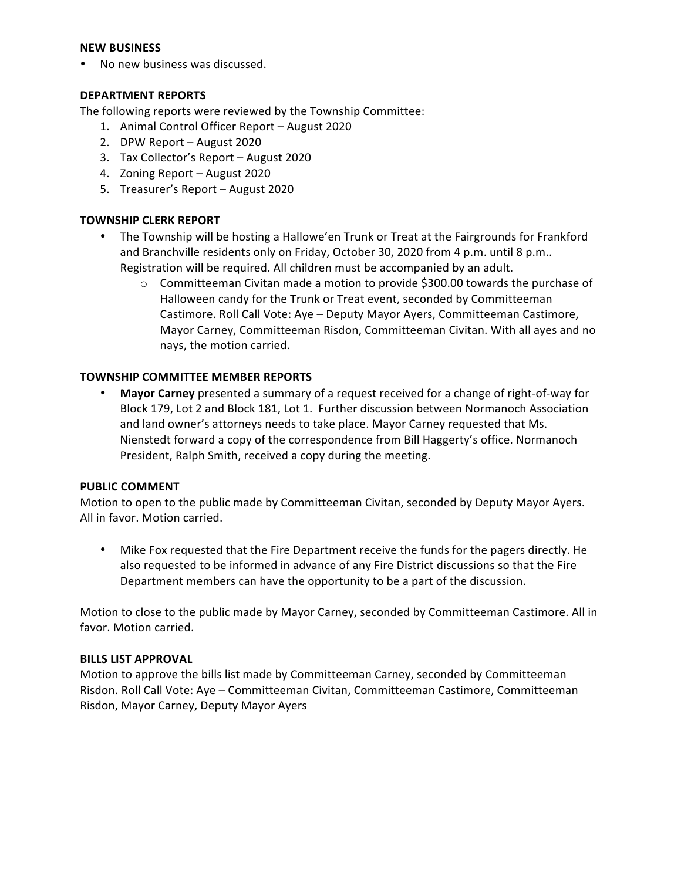#### **NEW BUSINESS**

• No new business was discussed.

## **DEPARTMENT REPORTS**

 The following reports were reviewed by the Township Committee:

- 1. Animal Control Officer Report August 2020
- 2. DPW Report August 2020
- 3. Tax Collector's Report August 2020
- 4. Zoning Report August 2020
- 5. Treasurer's Report August 2020

# **TOWNSHIP CLERK REPORT**

- The Township will be hosting a Hallowe'en Trunk or Treat at the Fairgrounds for Frankford and Branchville residents only on Friday, October 30, 2020 from 4 p.m. until 8 p.m.. Registration will be required. All children must be accompanied by an adult.
	- $\circ$  Committeeman Civitan made a motion to provide \$300.00 towards the purchase of Halloween candy for the Trunk or Treat event, seconded by Committeeman Castimore. Roll Call Vote: Aye – Deputy Mayor Ayers, Committeeman Castimore, Mayor Carney, Committeeman Risdon, Committeeman Civitan. With all ayes and no nays, the motion carried.

## **TOWNSHIP COMMITTEE MEMBER REPORTS**

**• Mayor Carney** presented a summary of a request received for a change of right-of-way for Block 179, Lot 2 and Block 181, Lot 1. Further discussion between Normanoch Association and land owner's attorneys needs to take place. Mayor Carney requested that Ms. Nienstedt forward a copy of the correspondence from Bill Haggerty's office. Normanoch President, Ralph Smith, received a copy during the meeting.

#### **PUBLIC COMMENT**

 Motion to open to the public made by Committeeman Civitan, seconded by Deputy Mayor Ayers. All in favor. Motion carried.

• Mike Fox requested that the Fire Department receive the funds for the pagers directly. He also requested to be informed in advance of any Fire District discussions so that the Fire Department members can have the opportunity to be a part of the discussion.

 Motion to close to the public made by Mayor Carney, seconded by Committeeman Castimore. All in favor. Motion carried.

#### **BILLS LIST APPROVAL**

Motion to approve the bills list made by Committeeman Carney, seconded by Committeeman Risdon. Roll Call Vote: Aye – Committeeman Civitan, Committeeman Castimore, Committeeman Risdon, Mayor Carney, Deputy Mayor Ayers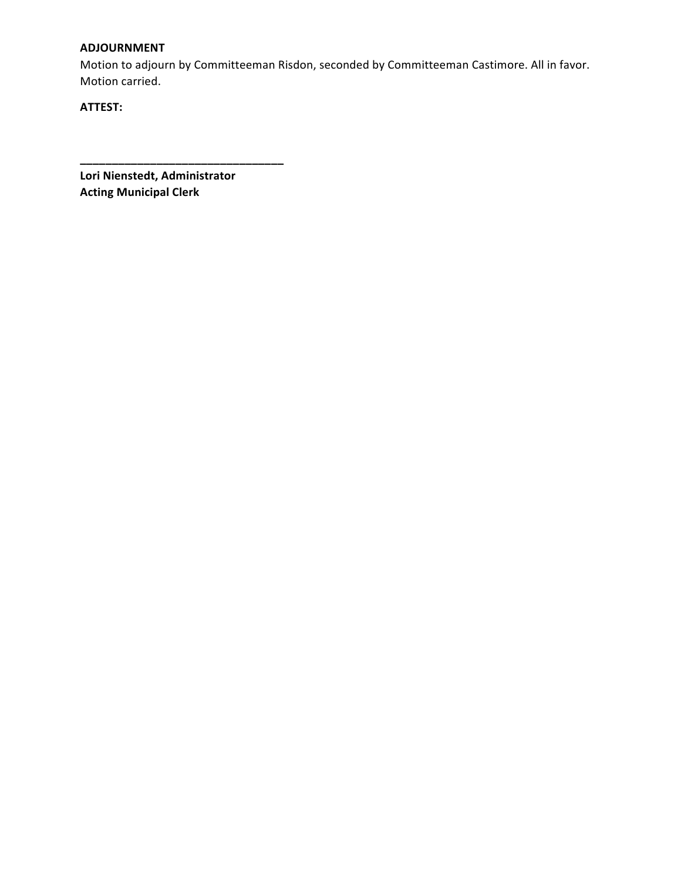# **ADJOURNMENT**

Motion to adjourn by Committeeman Risdon, seconded by Committeeman Castimore. All in favor. Motion carried.

**ATTEST:**

 **Lori Nienstedt, Administrator Acting Municipal Clerk**

**\_\_\_\_\_\_\_\_\_\_\_\_\_\_\_\_\_\_\_\_\_\_\_\_\_\_\_\_\_\_\_\_**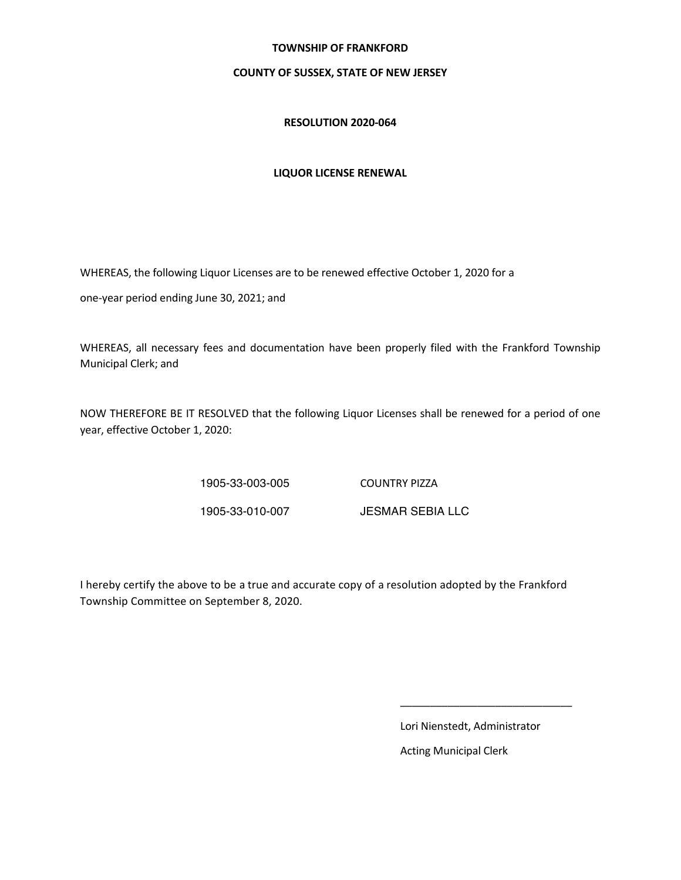#### **TOWNSHIP OF FRANKFORD**

#### **COUNTY OF SUSSEX, STATE OF NEW JERSEY**

#### **RESOLUTION 2020-064**

#### **LIQUOR LICENSE RENEWAL**

WHEREAS, the following Liquor Licenses are to be renewed effective October 1, 2020 for a

one-year period ending June 30, 2021; and

 WHEREAS, all necessary fees and documentation have been properly filed with the Frankford Township Municipal Clerk; and

NOW THEREFORE BE IT RESOLVED that the following Liquor Licenses shall be renewed for a period of one year, effective October 1, 2020:

 1905-33-003-005 COUNTRY PIZZA

1905-33-010-007

JESMAR SEBIA LLC

Township Committee on September 8, 2020. I hereby certify the above to be a true and accurate copy of a resolution adopted by the Frankford

 $\mathcal{L}_\text{max}$  , and the contract of the contract of the contract of the contract of the contract of the contract of the contract of the contract of the contract of the contract of the contract of the contract of the contr

 Lori Nienstedt, Administrator

 Acting Municipal Clerk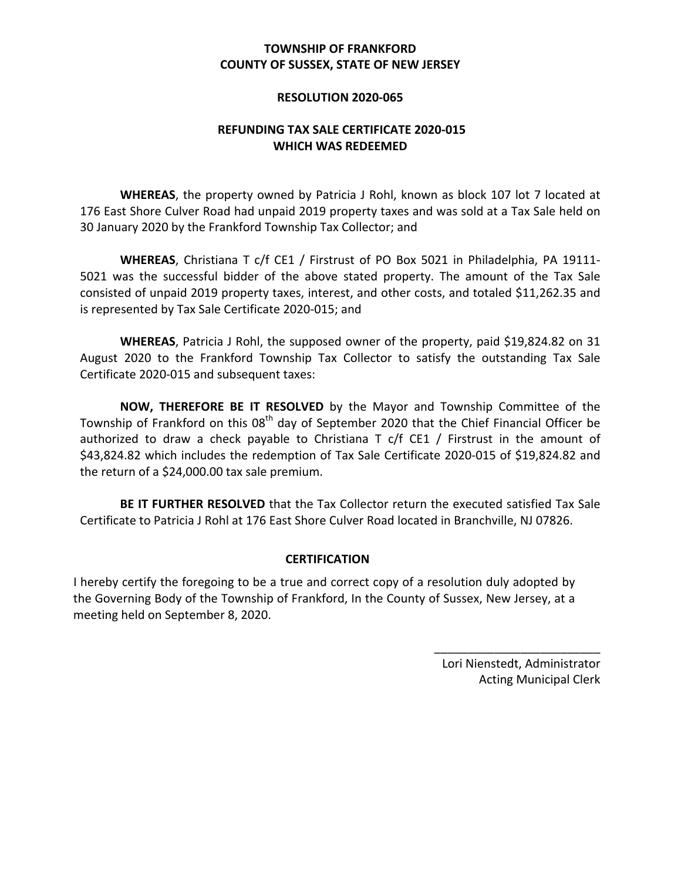# **COUNTY OF SUSSEX, STATE OF NEW JERSEY TOWNSHIP OF FRANKFORD**

## **RESOLUTION 2020-065**

# **REFUNDING TAX SALE CERTIFICATE 2020-015 WHICH WAS REDEEMED**

WHEREAS, the property owned by Patricia J Rohl, known as block 107 lot 7 located at 176 East Shore Culver Road had unpaid 2019 property taxes and was sold at a Tax Sale held on 30 January 2020 by the Frankford Township Tax Collector; and

WHEREAS, Christiana T c/f CE1 / Firstrust of PO Box 5021 in Philadelphia, PA 19111-5021 was the successful bidder of the above stated property. The amount of the Tax Sale consisted of unpaid 2019 property taxes, interest, and other costs, and totaled \$11,262.35 and is represented by Tax Sale Certificate 2020-015; and

WHEREAS, Patricia J Rohl, the supposed owner of the property, paid \$19,824.82 on 31 August 2020 to the Frankford Township Tax Collector to satisfy the outstanding Tax Sale Certificate 2020-015 and subsequent taxes:

**NOW, THEREFORE BE IT RESOLVED** by the Mayor and Township Committee of the Township of Frankford on this 08<sup>th</sup> day of September 2020 that the Chief Financial Officer be authorized to draw a check payable to Christiana T c/f CE1 / Firstrust in the amount of \$43,824.82 which includes the redemption of Tax Sale Certificate 2020-015 of \$19,824.82 and the return of a \$24,000.00 tax sale premium.

BE IT FURTHER RESOLVED that the Tax Collector return the executed satisfied Tax Sale Certificate to Patricia J Rohl at 176 East Shore Culver Road located in Branchville, NJ 07826.

# **CERTIFICATION**

I hereby certify the foregoing to be a true and correct copy of a resolution duly adopted by the Governing Body of the Township of Frankford, In the County of Sussex, New Jersey, at a meeting held on September 8, 2020.

> Lori Nienstedt, Administrator Acting Municipal Clerk

\_\_\_\_\_\_\_\_\_\_\_\_\_\_\_\_\_\_\_\_\_\_\_\_\_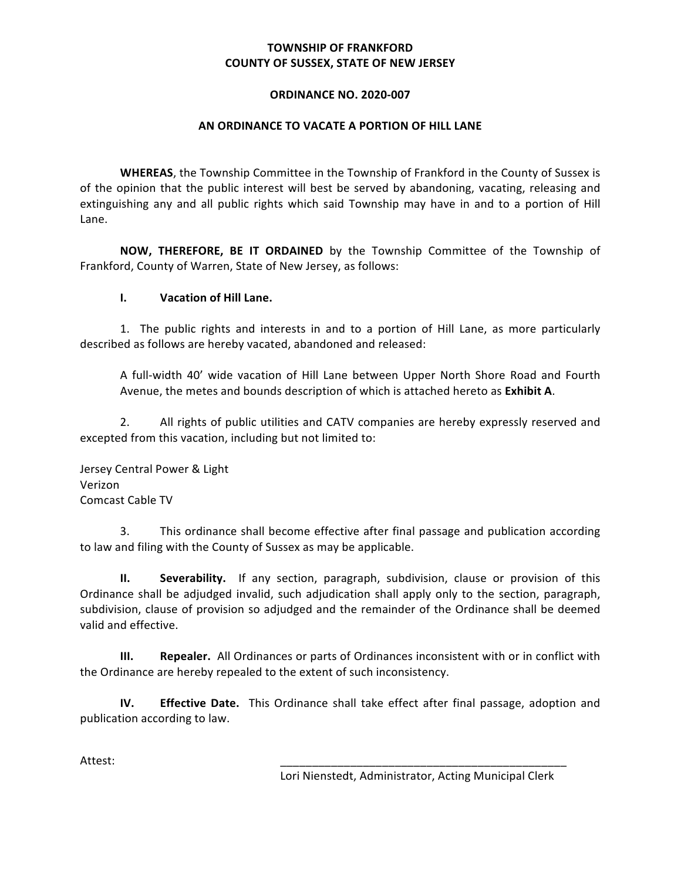# **TOWNSHIP OF FRANKFORD COUNTY OF SUSSEX, STATE OF NEW JERSEY**

### **ORDINANCE NO. 2020-007**

#### **AN ORDINANCE TO VACATE A PORTION OF HILL LANE**

WHEREAS, the Township Committee in the Township of Frankford in the County of Sussex is of the opinion that the public interest will best be served by abandoning, vacating, releasing and extinguishing any and all public rights which said Township may have in and to a portion of Hill Lane.

**NOW, THEREFORE, BE IT ORDAINED** by the Township Committee of the Township of Frankford, County of Warren, State of New Jersey, as follows:

## **I. Vacation of Hill Lane.**

 1. The public rights and interests in and to a portion of Hill Lane, as more particularly described as follows are hereby vacated, abandoned and released:

A full-width 40' wide vacation of Hill Lane between Upper North Shore Road and Fourth Avenue, the metes and bounds description of which is attached hereto as **Exhibit A**. 

2. All rights of public utilities and CATV companies are hereby expressly reserved and excepted from this vacation, including but not limited to:

Jersey Central Power & Light Comcast Cable TV Verizon

 3. This ordinance shall become effective after final passage and publication according to law and filing with the County of Sussex as may be applicable.

 **II. Severability.** If any section, paragraph, subdivision, clause or provision of this Ordinance shall be adjudged invalid, such adjudication shall apply only to the section, paragraph, subdivision, clause of provision so adjudged and the remainder of the Ordinance shall be deemed valid and effective.

**III. Repealer.** All Ordinances or parts of Ordinances inconsistent with or in conflict with the Ordinance are hereby repealed to the extent of such inconsistency.

 **IV. Effective Date.** This Ordinance shall take effect after final passage, adoption and publication according to law.

Attest: \_\_\_\_\_\_\_\_\_\_\_\_\_\_\_\_\_\_\_\_\_\_\_\_\_\_\_\_\_\_\_\_\_\_\_\_\_\_\_\_\_\_\_\_\_